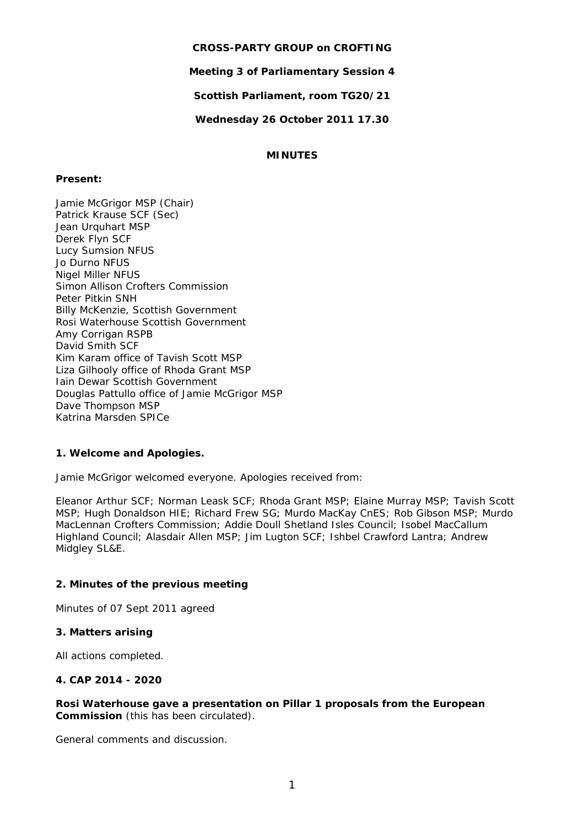### **CROSS-PARTY GROUP on CROFTING**

**Meeting 3 of Parliamentary Session 4** 

**Scottish Parliament, room TG20/21** 

**Wednesday 26 October 2011 17.30** 

# **MINUTES**

### **Present:**

Jamie McGrigor MSP (Chair) Patrick Krause SCF (Sec) Jean Urquhart MSP Derek Flyn SCF Lucy Sumsion NFUS Jo Durno NFUS Nigel Miller NFUS Simon Allison Crofters Commission Peter Pitkin SNH Billy McKenzie, Scottish Government Rosi Waterhouse Scottish Government Amy Corrigan RSPB David Smith SCF Kim Karam office of Tavish Scott MSP Liza Gilhooly office of Rhoda Grant MSP Iain Dewar Scottish Government Douglas Pattullo office of Jamie McGrigor MSP Dave Thompson MSP Katrina Marsden SPICe

# **1. Welcome and Apologies.**

Jamie McGrigor welcomed everyone. Apologies received from:

Eleanor Arthur SCF; Norman Leask SCF; Rhoda Grant MSP; Elaine Murray MSP; Tavish Scott MSP; Hugh Donaldson HIE; Richard Frew SG; Murdo MacKay CnES; Rob Gibson MSP; Murdo MacLennan Crofters Commission; Addie Doull Shetland Isles Council; Isobel MacCallum Highland Council; Alasdair Allen MSP; Jim Lugton SCF; Ishbel Crawford Lantra; Andrew Midgley SL&E.

#### **2. Minutes of the previous meeting**

Minutes of 07 Sept 2011 agreed

#### **3. Matters arising**

All actions completed.

#### **4. CAP 2014 - 2020**

#### *Rosi Waterhouse gave a presentation on Pillar 1 proposals from the European Commission* (this has been circulated).

General comments and discussion.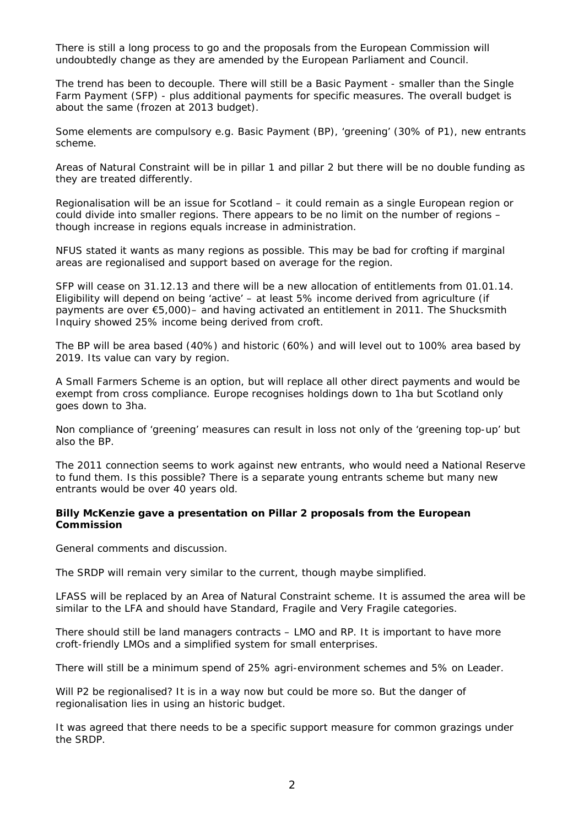There is still a long process to go and the proposals from the European Commission will undoubtedly change as they are amended by the European Parliament and Council.

The trend has been to decouple. There will still be a Basic Payment - smaller than the Single Farm Payment (SFP) - plus additional payments for specific measures. The overall budget is about the same (frozen at 2013 budget).

Some elements are compulsory e.g. Basic Payment (BP), 'greening' (30% of P1), new entrants scheme.

Areas of Natural Constraint will be in pillar 1 and pillar 2 but there will be no double funding as they are treated differently.

Regionalisation will be an issue for Scotland – it could remain as a single European region or could divide into smaller regions. There appears to be no limit on the number of regions – though increase in regions equals increase in administration.

NFUS stated it wants as many regions as possible. This may be bad for crofting if marginal areas are regionalised and support based on average for the region.

SFP will cease on 31.12.13 and there will be a new allocation of entitlements from 01.01.14. Eligibility will depend on being 'active' – at least 5% income derived from agriculture (if payments are over  $\epsilon$ 5,000)– and having activated an entitlement in 2011. The Shucksmith Inquiry showed 25% income being derived from croft.

The BP will be area based (40%) and historic (60%) and will level out to 100% area based by 2019. Its value can vary by region.

A Small Farmers Scheme is an option, but will replace all other direct payments and would be exempt from cross compliance. Europe recognises holdings down to 1ha but Scotland only goes down to 3ha.

Non compliance of 'greening' measures can result in loss not only of the 'greening top-up' but also the BP.

The 2011 connection seems to work against new entrants, who would need a National Reserve to fund them. Is this possible? There is a separate young entrants scheme but many new entrants would be over 40 years old.

#### *Billy McKenzie gave a presentation on Pillar 2 proposals from the European Commission*

General comments and discussion.

The SRDP will remain very similar to the current, though maybe simplified.

LFASS will be replaced by an Area of Natural Constraint scheme. It is assumed the area will be similar to the LFA and should have Standard, Fragile and Very Fragile categories.

There should still be land managers contracts – LMO and RP. It is important to have more croft-friendly LMOs and a simplified system for small enterprises.

There will still be a minimum spend of 25% agri-environment schemes and 5% on Leader.

Will P2 be regionalised? It is in a way now but could be more so. But the danger of regionalisation lies in using an historic budget.

It was agreed that there needs to be a specific support measure for common grazings under the SRDP.